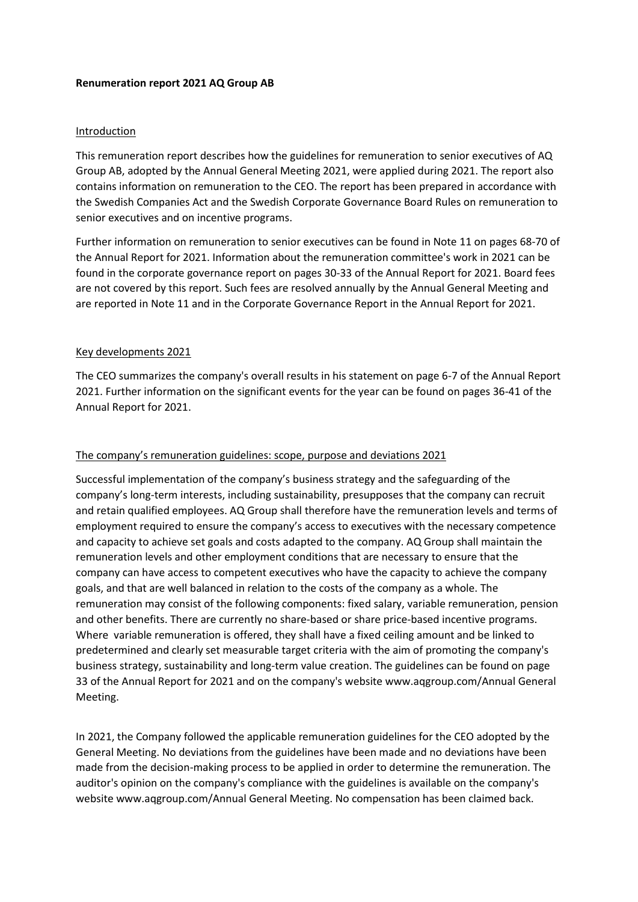#### **Renumeration report 2021 AQ Group AB**

#### Introduction

This remuneration report describes how the guidelines for remuneration to senior executives of AQ Group AB, adopted by the Annual General Meeting 2021, were applied during 2021. The report also contains information on remuneration to the CEO. The report has been prepared in accordance with the Swedish Companies Act and the Swedish Corporate Governance Board Rules on remuneration to senior executives and on incentive programs.

Further information on remuneration to senior executives can be found in Note 11 on pages 68-70 of the Annual Report for 2021. Information about the remuneration committee's work in 2021 can be found in the corporate governance report on pages 30-33 of the Annual Report for 2021. Board fees are not covered by this report. Such fees are resolved annually by the Annual General Meeting and are reported in Note 11 and in the Corporate Governance Report in the Annual Report for 2021.

#### Key developments 2021

The CEO summarizes the company's overall results in his statement on page 6-7 of the Annual Report 2021. Further information on the significant events for the year can be found on pages 36-41 of the Annual Report for 2021.

#### The company's remuneration guidelines: scope, purpose and deviations 2021

Successful implementation of the company's business strategy and the safeguarding of the company's long-term interests, including sustainability, presupposes that the company can recruit and retain qualified employees. AQ Group shall therefore have the remuneration levels and terms of employment required to ensure the company's access to executives with the necessary competence and capacity to achieve set goals and costs adapted to the company. AQ Group shall maintain the remuneration levels and other employment conditions that are necessary to ensure that the company can have access to competent executives who have the capacity to achieve the company goals, and that are well balanced in relation to the costs of the company as a whole. The remuneration may consist of the following components: fixed salary, variable remuneration, pension and other benefits. There are currently no share-based or share price-based incentive programs. Where variable remuneration is offered, they shall have a fixed ceiling amount and be linked to predetermined and clearly set measurable target criteria with the aim of promoting the company's business strategy, sustainability and long-term value creation. The guidelines can be found on page 33 of the Annual Report for 2021 and on the company's websit[e www.aqgroup.com/Annual](http://www.aqgroup.com/Annual) General Meeting.

In 2021, the Company followed the applicable remuneration guidelines for the CEO adopted by the General Meeting. No deviations from the guidelines have been made and no deviations have been made from the decision-making process to be applied in order to determine the remuneration. The auditor's opinion on the company's compliance with the guidelines is available on the company's websit[e www.aqgroup.com/Annual](http://www.aqgroup.com/Annual) General Meeting. No compensation has been claimed back.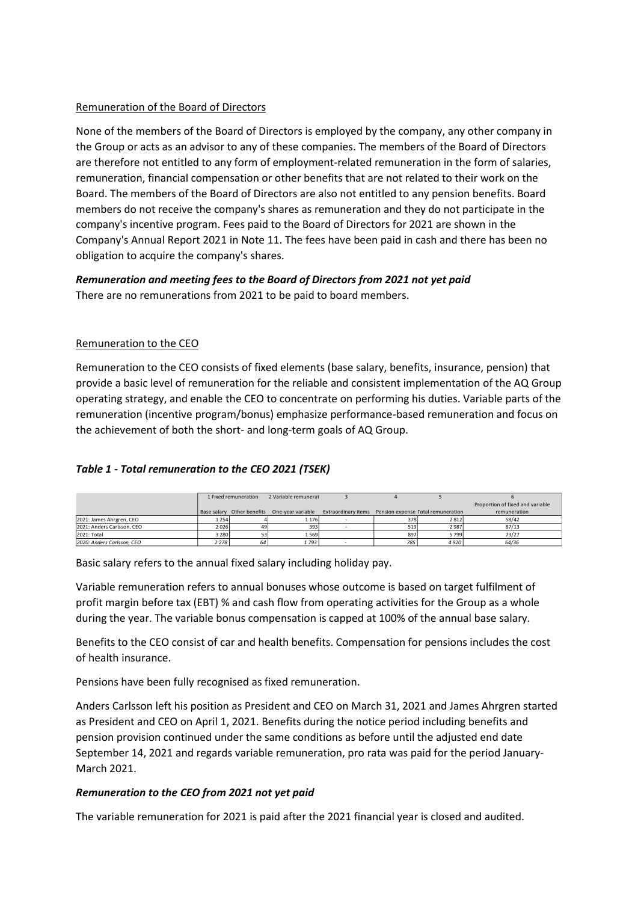## Remuneration of the Board of Directors

None of the members of the Board of Directors is employed by the company, any other company in the Group or acts as an advisor to any of these companies. The members of the Board of Directors are therefore not entitled to any form of employment-related remuneration in the form of salaries, remuneration, financial compensation or other benefits that are not related to their work on the Board. The members of the Board of Directors are also not entitled to any pension benefits. Board members do not receive the company's shares as remuneration and they do not participate in the company's incentive program. Fees paid to the Board of Directors for 2021 are shown in the Company's Annual Report 2021 in Note 11. The fees have been paid in cash and there has been no obligation to acquire the company's shares.

### *Remuneration and meeting fees to the Board of Directors from 2021 not yet paid* There are no remunerations from 2021 to be paid to board members.

## Remuneration to the CEO

Remuneration to the CEO consists of fixed elements (base salary, benefits, insurance, pension) that provide a basic level of remuneration for the reliable and consistent implementation of the AQ Group operating strategy, and enable the CEO to concentrate on performing his duties. Variable parts of the remuneration (incentive program/bonus) emphasize performance-based remuneration and focus on the achievement of both the short- and long-term goals of AQ Group.

### *Table 1 - Total remuneration to the CEO 2021 (TSEK)*

|                            | 1 Fixed remuneration |    |                                              |                                                         |     |         |                                  |
|----------------------------|----------------------|----|----------------------------------------------|---------------------------------------------------------|-----|---------|----------------------------------|
|                            |                      |    | 2 Variable remunerat                         |                                                         |     |         |                                  |
|                            |                      |    |                                              |                                                         |     |         | Proportion of fixed and variable |
|                            |                      |    | Base salary Other benefits One-year variable | Extraordinary items  Pension expense Total remuneration |     |         | remuneration                     |
| 2021: James Ahrgren, CEO   | 1 2 5 4              |    | 1 1 7 6                                      |                                                         | 378 | 2812    | 58/42                            |
| 2021: Anders Carlsson, CEO | 2026                 | 49 | 393                                          |                                                         | 519 | 2987    | 87/13                            |
| 2021: Total                | 3 2 8 0              |    | 1569                                         |                                                         | 897 | 5799    | 73/27                            |
| 2020: Anders Carlsson, CEO | 2 2 7 8              | 64 | 1 793                                        | -                                                       | 785 | 4 9 2 0 | 64/36                            |

Basic salary refers to the annual fixed salary including holiday pay.

Variable remuneration refers to annual bonuses whose outcome is based on target fulfilment of profit margin before tax (EBT) % and cash flow from operating activities for the Group as a whole during the year. The variable bonus compensation is capped at 100% of the annual base salary.

Benefits to the CEO consist of car and health benefits. Compensation for pensions includes the cost of health insurance.

Pensions have been fully recognised as fixed remuneration.

Anders Carlsson left his position as President and CEO on March 31, 2021 and James Ahrgren started as President and CEO on April 1, 2021. Benefits during the notice period including benefits and pension provision continued under the same conditions as before until the adjusted end date September 14, 2021 and regards variable remuneration, pro rata was paid for the period January-March 2021.

### *Remuneration to the CEO from 2021 not yet paid*

The variable remuneration for 2021 is paid after the 2021 financial year is closed and audited.